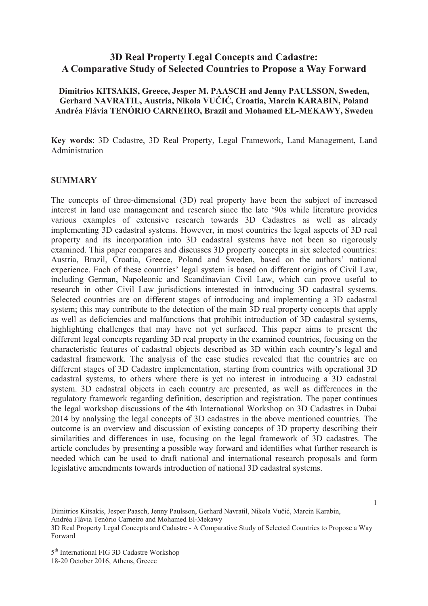# **3D Real Property Legal Concepts and Cadastre: A Comparative Study of Selected Countries to Propose a Way Forward**

### **Dimitrios KITSAKIS, Greece, Jesper M. PAASCH and Jenny PAULSSON, Sweden, Gerhard NAVRATIL, Austria, Nikola VUýIû, Croatia, Marcin KARABIN, Poland Andréa Flávia TENÓRIO CARNEIRO, Brazil and Mohamed EL-MEKAWY, Sweden**

**Key words**: 3D Cadastre, 3D Real Property, Legal Framework, Land Management, Land Administration

#### **SUMMARY**

The concepts of three-dimensional (3D) real property have been the subject of increased interest in land use management and research since the late '90s while literature provides various examples of extensive research towards 3D Cadastres as well as already implementing 3D cadastral systems. However, in most countries the legal aspects of 3D real property and its incorporation into 3D cadastral systems have not been so rigorously examined. This paper compares and discusses 3D property concepts in six selected countries: Austria, Brazil, Croatia, Greece, Poland and Sweden, based on the authors' national experience. Each of these countries' legal system is based on different origins of Civil Law, including German, Napoleonic and Scandinavian Civil Law, which can prove useful to research in other Civil Law jurisdictions interested in introducing 3D cadastral systems. Selected countries are on different stages of introducing and implementing a 3D cadastral system; this may contribute to the detection of the main 3D real property concepts that apply as well as deficiencies and malfunctions that prohibit introduction of 3D cadastral systems, highlighting challenges that may have not yet surfaced. This paper aims to present the different legal concepts regarding 3D real property in the examined countries, focusing on the characteristic features of cadastral objects described as 3D within each country's legal and cadastral framework. The analysis of the case studies revealed that the countries are on different stages of 3D Cadastre implementation, starting from countries with operational 3D cadastral systems, to others where there is yet no interest in introducing a 3D cadastral system. 3D cadastral objects in each country are presented, as well as differences in the regulatory framework regarding definition, description and registration. The paper continues the legal workshop discussions of the 4th International Workshop on 3D Cadastres in Dubai 2014 by analysing the legal concepts of 3D cadastres in the above mentioned countries. The outcome is an overview and discussion of existing concepts of 3D property describing their similarities and differences in use, focusing on the legal framework of 3D cadastres. The article concludes by presenting a possible way forward and identifies what further research is needed which can be used to draft national and international research proposals and form legislative amendments towards introduction of national 3D cadastral systems.

Dimitrios Kitsakis, Jesper Paasch, Jenny Paulsson, Gerhard Navratil, Nikola Vučić, Marcin Karabin, Andréa Flávia Tenório Carneiro and Mohamed El-Mekawy

<sup>3</sup>D Real Property Legal Concepts and Cadastre - A Comparative Study of Selected Countries to Propose a Way Forward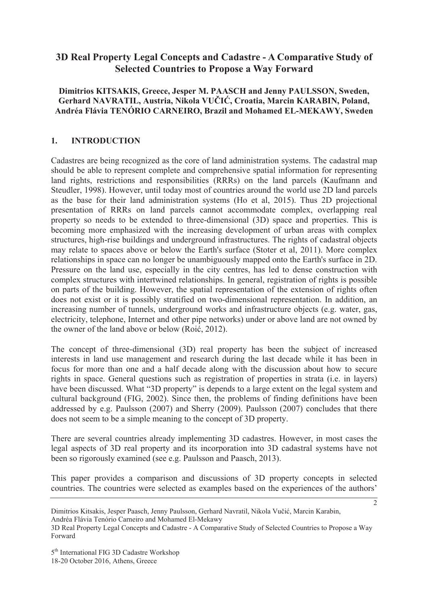# **3D Real Property Legal Concepts and Cadastre - A Comparative Study of Selected Countries to Propose a Way Forward**

**Dimitrios KITSAKIS, Greece, Jesper M. PAASCH and Jenny PAULSSON, Sweden, Gerhard NAVRATIL, Austria, Nikola VUýIû, Croatia, Marcin KARABIN, Poland, Andréa Flávia TENÓRIO CARNEIRO, Brazil and Mohamed EL-MEKAWY, Sweden** 

# **1. INTRODUCTION**

Cadastres are being recognized as the core of land administration systems. The cadastral map should be able to represent complete and comprehensive spatial information for representing land rights, restrictions and responsibilities (RRRs) on the land parcels (Kaufmann and Steudler, 1998). However, until today most of countries around the world use 2D land parcels as the base for their land administration systems (Ho et al, 2015). Thus 2D projectional presentation of RRRs on land parcels cannot accommodate complex, overlapping real property so needs to be extended to three-dimensional (3D) space and properties. This is becoming more emphasized with the increasing development of urban areas with complex structures, high-rise buildings and underground infrastructures. The rights of cadastral objects may relate to spaces above or below the Earth's surface (Stoter et al, 2011). More complex relationships in space can no longer be unambiguously mapped onto the Earth's surface in 2D. Pressure on the land use, especially in the city centres, has led to dense construction with complex structures with intertwined relationships. In general, registration of rights is possible on parts of the building. However, the spatial representation of the extension of rights often does not exist or it is possibly stratified on two-dimensional representation. In addition, an increasing number of tunnels, underground works and infrastructure objects (e.g. water, gas, electricity, telephone, Internet and other pipe networks) under or above land are not owned by the owner of the land above or below (Roić, 2012).

The concept of three-dimensional (3D) real property has been the subject of increased interests in land use management and research during the last decade while it has been in focus for more than one and a half decade along with the discussion about how to secure rights in space. General questions such as registration of properties in strata (i.e. in layers) have been discussed. What "3D property" is depends to a large extent on the legal system and cultural background (FIG, 2002). Since then, the problems of finding definitions have been addressed by e.g. Paulsson (2007) and Sherry (2009). Paulsson (2007) concludes that there does not seem to be a simple meaning to the concept of 3D property.

There are several countries already implementing 3D cadastres. However, in most cases the legal aspects of 3D real property and its incorporation into 3D cadastral systems have not been so rigorously examined (see e.g. Paulsson and Paasch, 2013).

This paper provides a comparison and discussions of 3D property concepts in selected countries. The countries were selected as examples based on the experiences of the authors'

 $\overline{2}$ 

Dimitrios Kitsakis, Jesper Paasch, Jenny Paulsson, Gerhard Navratil, Nikola Vučić, Marcin Karabin, Andréa Flávia Tenório Carneiro and Mohamed El-Mekawy

<sup>3</sup>D Real Property Legal Concepts and Cadastre - A Comparative Study of Selected Countries to Propose a Way Forward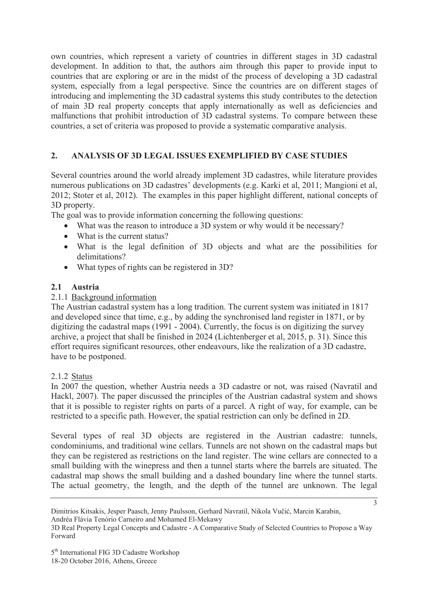own countries, which represent a variety of countries in different stages in 3D cadastral development. In addition to that, the authors aim through this paper to provide input to countries that are exploring or are in the midst of the process of developing a 3D cadastral system, especially from a legal perspective. Since the countries are on different stages of introducing and implementing the 3D cadastral systems this study contributes to the detection of main 3D real property concepts that apply internationally as well as deficiencies and malfunctions that prohibit introduction of 3D cadastral systems. To compare between these countries, a set of criteria was proposed to provide a systematic comparative analysis.

# **2. ANALYSIS OF 3D LEGAL ISSUES EXEMPLIFIED BY CASE STUDIES**

Several countries around the world already implement 3D cadastres, while literature provides numerous publications on 3D cadastres' developments (e.g. Karki et al, 2011; Mangioni et al, 2012; Stoter et al, 2012). The examples in this paper highlight different, national concepts of 3D property.

The goal was to provide information concerning the following questions:

- What was the reason to introduce a 3D system or why would it be necessary?
- $\bullet$  What is the current status?
- What is the legal definition of 3D objects and what are the possibilities for delimitations?
- What types of rights can be registered in 3D?

### **2.1 Austria**

### 2.1.1 Background information

The Austrian cadastral system has a long tradition. The current system was initiated in 1817 and developed since that time, e.g., by adding the synchronised land register in 1871, or by digitizing the cadastral maps (1991 - 2004). Currently, the focus is on digitizing the survey archive, a project that shall be finished in 2024 (Lichtenberger et al, 2015, p. 31). Since this effort requires significant resources, other endeavours, like the realization of a 3D cadastre, have to be postponed.

#### 2.1.2 Status

In 2007 the question, whether Austria needs a 3D cadastre or not, was raised (Navratil and Hackl, 2007). The paper discussed the principles of the Austrian cadastral system and shows that it is possible to register rights on parts of a parcel. A right of way, for example, can be restricted to a specific path. However, the spatial restriction can only be defined in 2D.

Several types of real 3D objects are registered in the Austrian cadastre: tunnels, condominiums, and traditional wine cellars. Tunnels are not shown on the cadastral maps but they can be registered as restrictions on the land register. The wine cellars are connected to a small building with the winepress and then a tunnel starts where the barrels are situated. The cadastral map shows the small building and a dashed boundary line where the tunnel starts. The actual geometry, the length, and the depth of the tunnel are unknown. The legal

Andréa Flávia Tenório Carneiro and Mohamed El-Mekawy

Dimitrios Kitsakis, Jesper Paasch, Jenny Paulsson, Gerhard Navratil, Nikola Vučić, Marcin Karabin,

<sup>3</sup>D Real Property Legal Concepts and Cadastre - A Comparative Study of Selected Countries to Propose a Way Forward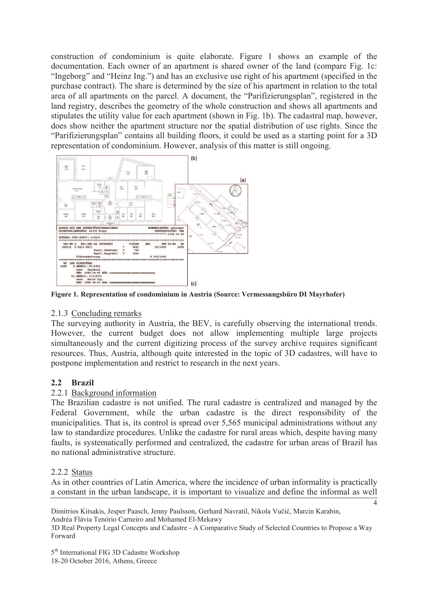construction of condominium is quite elaborate. Figure 1 shows an example of the documentation. Each owner of an apartment is shared owner of the land (compare Fig. 1c: "Ingeborg" and "Heinz Ing.") and has an exclusive use right of his apartment (specified in the purchase contract). The share is determined by the size of his apartment in relation to the total area of all apartments on the parcel. A document, the "Parifizierungsplan", registered in the land registry, describes the geometry of the whole construction and shows all apartments and stipulates the utility value for each apartment (shown in Fig. 1b). The cadastral map, however, does show neither the apartment structure nor the spatial distribution of use rights. Since the "Parifizierungsplan" contains all building floors, it could be used as a starting point for a 3D representation of condominium. However, analysis of this matter is still ongoing.



**Figure 1. Representation of condominium in Austria (Source: Vermessungsbüro DI Mayrhofer)**

# 2.1.3 Concluding remarks

The surveying authority in Austria, the BEV, is carefully observing the international trends. However, the current budget does not allow implementing multiple large projects simultaneously and the current digitizing process of the survey archive requires significant resources. Thus, Austria, although quite interested in the topic of 3D cadastres, will have to postpone implementation and restrict to research in the next years.

# **2.2 Brazil**

# 2.2.1 Background information

The Brazilian cadastre is not unified. The rural cadastre is centralized and managed by the Federal Government, while the urban cadastre is the direct responsibility of the municipalities. That is, its control is spread over 5,565 municipal administrations without any law to standardize procedures. Unlike the cadastre for rural areas which, despite having many faults, is systematically performed and centralized, the cadastre for urban areas of Brazil has no national administrative structure.

#### 2.2.2 Status

As in other countries of Latin America, where the incidence of urban informality is practically a constant in the urban landscape, it is important to visualize and define the informal as well

4

Dimitrios Kitsakis, Jesper Paasch, Jenny Paulsson, Gerhard Navratil, Nikola Vučić, Marcin Karabin, Andréa Flávia Tenório Carneiro and Mohamed El-Mekawy

3D Real Property Legal Concepts and Cadastre - A Comparative Study of Selected Countries to Propose a Way Forward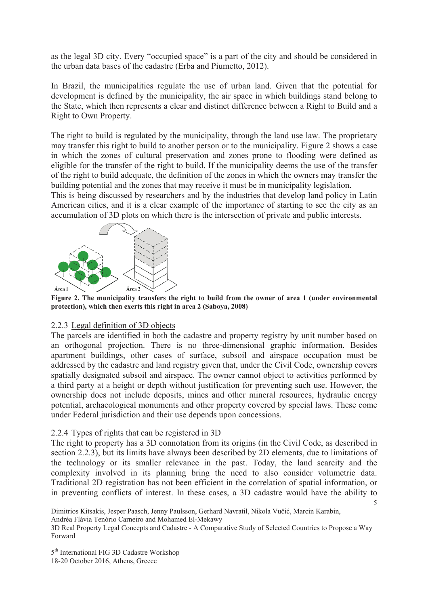as the legal 3D city. Every "occupied space" is a part of the city and should be considered in the urban data bases of the cadastre (Erba and Piumetto, 2012).

In Brazil, the municipalities regulate the use of urban land. Given that the potential for development is defined by the municipality, the air space in which buildings stand belong to the State, which then represents a clear and distinct difference between a Right to Build and a Right to Own Property.

The right to build is regulated by the municipality, through the land use law. The proprietary may transfer this right to build to another person or to the municipality. Figure 2 shows a case in which the zones of cultural preservation and zones prone to flooding were defined as eligible for the transfer of the right to build. If the municipality deems the use of the transfer of the right to build adequate, the definition of the zones in which the owners may transfer the building potential and the zones that may receive it must be in municipality legislation.

This is being discussed by researchers and by the industries that develop land policy in Latin American cities, and it is a clear example of the importance of starting to see the city as an accumulation of 3D plots on which there is the intersection of private and public interests.



**Figure 2. The municipality transfers the right to build from the owner of area 1 (under environmental protection), which then exerts this right in area 2 (Saboya, 2008)**

#### 2.2.3 Legal definition of 3D objects

The parcels are identified in both the cadastre and property registry by unit number based on an orthogonal projection. There is no three-dimensional graphic information. Besides apartment buildings, other cases of surface, subsoil and airspace occupation must be addressed by the cadastre and land registry given that, under the Civil Code, ownership covers spatially designated subsoil and airspace. The owner cannot object to activities performed by a third party at a height or depth without justification for preventing such use. However, the ownership does not include deposits, mines and other mineral resources, hydraulic energy potential, archaeological monuments and other property covered by special laws. These come under Federal jurisdiction and their use depends upon concessions.

# 2.2.4 Types of rights that can be registered in 3D

The right to property has a 3D connotation from its origins (in the Civil Code, as described in section 2.2.3), but its limits have always been described by 2D elements, due to limitations of the technology or its smaller relevance in the past. Today, the land scarcity and the complexity involved in its planning bring the need to also consider volumetric data. Traditional 2D registration has not been efficient in the correlation of spatial information, or in preventing conflicts of interest. In these cases, a 3D cadastre would have the ability to

 $\overline{5}$ 

Dimitrios Kitsakis, Jesper Paasch, Jenny Paulsson, Gerhard Navratil, Nikola Vučić, Marcin Karabin,

Andréa Flávia Tenório Carneiro and Mohamed El-Mekawy

3D Real Property Legal Concepts and Cadastre - A Comparative Study of Selected Countries to Propose a Way Forward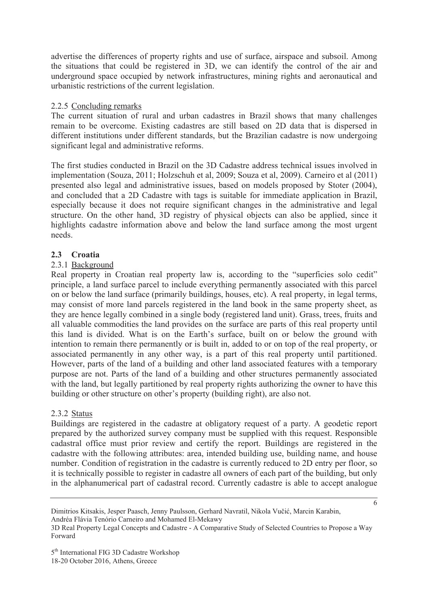advertise the differences of property rights and use of surface, airspace and subsoil. Among the situations that could be registered in 3D, we can identify the control of the air and underground space occupied by network infrastructures, mining rights and aeronautical and urbanistic restrictions of the current legislation.

### 2.2.5 Concluding remarks

The current situation of rural and urban cadastres in Brazil shows that many challenges remain to be overcome. Existing cadastres are still based on 2D data that is dispersed in different institutions under different standards, but the Brazilian cadastre is now undergoing significant legal and administrative reforms.

The first studies conducted in Brazil on the 3D Cadastre address technical issues involved in implementation (Souza, 2011; Holzschuh et al, 2009; Souza et al, 2009). Carneiro et al (2011) presented also legal and administrative issues, based on models proposed by Stoter (2004), and concluded that a 2D Cadastre with tags is suitable for immediate application in Brazil, especially because it does not require significant changes in the administrative and legal structure. On the other hand, 3D registry of physical objects can also be applied, since it highlights cadastre information above and below the land surface among the most urgent needs.

### **2.3 Croatia**

### 2.3.1 Background

Real property in Croatian real property law is, according to the "superficies solo cedit" principle, a land surface parcel to include everything permanently associated with this parcel on or below the land surface (primarily buildings, houses, etc). A real property, in legal terms, may consist of more land parcels registered in the land book in the same property sheet, as they are hence legally combined in a single body (registered land unit). Grass, trees, fruits and all valuable commodities the land provides on the surface are parts of this real property until this land is divided. What is on the Earth's surface, built on or below the ground with intention to remain there permanently or is built in, added to or on top of the real property, or associated permanently in any other way, is a part of this real property until partitioned. However, parts of the land of a building and other land associated features with a temporary purpose are not. Parts of the land of a building and other structures permanently associated with the land, but legally partitioned by real property rights authorizing the owner to have this building or other structure on other's property (building right), are also not.

#### 2.3.2 Status

Buildings are registered in the cadastre at obligatory request of a party. A geodetic report prepared by the authorized survey company must be supplied with this request. Responsible cadastral office must prior review and certify the report. Buildings are registered in the cadastre with the following attributes: area, intended building use, building name, and house number. Condition of registration in the cadastre is currently reduced to 2D entry per floor, so it is technically possible to register in cadastre all owners of each part of the building, but only in the alphanumerical part of cadastral record. Currently cadastre is able to accept analogue

Andréa Flávia Tenório Carneiro and Mohamed El-Mekawy

Dimitrios Kitsakis, Jesper Paasch, Jenny Paulsson, Gerhard Navratil, Nikola Vučić, Marcin Karabin,

<sup>3</sup>D Real Property Legal Concepts and Cadastre - A Comparative Study of Selected Countries to Propose a Way Forward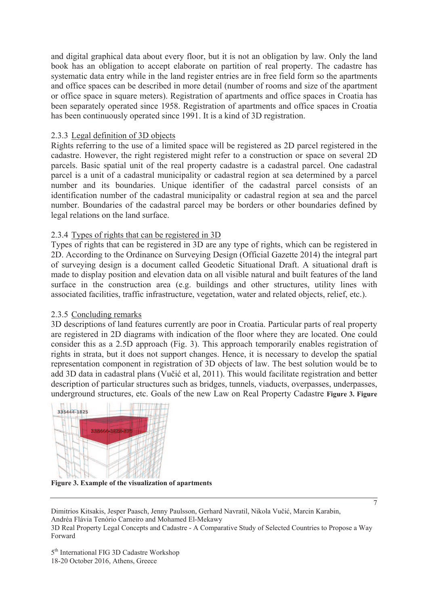and digital graphical data about every floor, but it is not an obligation by law. Only the land book has an obligation to accept elaborate on partition of real property. The cadastre has systematic data entry while in the land register entries are in free field form so the apartments and office spaces can be described in more detail (number of rooms and size of the apartment or office space in square meters). Registration of apartments and office spaces in Croatia has been separately operated since 1958. Registration of apartments and office spaces in Croatia has been continuously operated since 1991. It is a kind of 3D registration.

### 2.3.3 Legal definition of 3D objects

Rights referring to the use of a limited space will be registered as 2D parcel registered in the cadastre. However, the right registered might refer to a construction or space on several 2D parcels. Basic spatial unit of the real property cadastre is a cadastral parcel. One cadastral parcel is a unit of a cadastral municipality or cadastral region at sea determined by a parcel number and its boundaries. Unique identifier of the cadastral parcel consists of an identification number of the cadastral municipality or cadastral region at sea and the parcel number. Boundaries of the cadastral parcel may be borders or other boundaries defined by legal relations on the land surface.

### 2.3.4 Types of rights that can be registered in 3D

Types of rights that can be registered in 3D are any type of rights, which can be registered in 2D. According to the Ordinance on Surveying Design (Official Gazette 2014) the integral part of surveying design is a document called Geodetic Situational Draft. A situational draft is made to display position and elevation data on all visible natural and built features of the land surface in the construction area (e.g. buildings and other structures, utility lines with associated facilities, traffic infrastructure, vegetation, water and related objects, relief, etc.).

# 2.3.5 Concluding remarks

3D descriptions of land features currently are poor in Croatia. Particular parts of real property are registered in 2D diagrams with indication of the floor where they are located. One could consider this as a 2.5D approach (Fig. 3). This approach temporarily enables registration of rights in strata, but it does not support changes. Hence, it is necessary to develop the spatial representation component in registration of 3D objects of law. The best solution would be to add 3D data in cadastral plans (Vučić et al, 2011). This would facilitate registration and better description of particular structures such as bridges, tunnels, viaducts, overpasses, underpasses, underground structures, etc. Goals of the new Law on Real Property Cadastre **Figure 3. Figure** 



**Figure 3. Example of the visualization of apartments**

Dimitrios Kitsakis, Jesper Paasch, Jenny Paulsson, Gerhard Navratil, Nikola Vučić, Marcin Karabin, Andréa Flávia Tenório Carneiro and Mohamed El-Mekawy 3D Real Property Legal Concepts and Cadastre - A Comparative Study of Selected Countries to Propose a Way Forward

 $\overline{7}$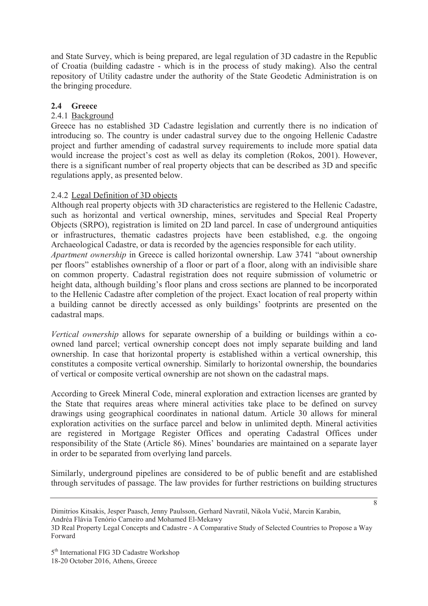and State Survey, which is being prepared, are legal regulation of 3D cadastre in the Republic of Croatia (building cadastre - which is in the process of study making). Also the central repository of Utility cadastre under the authority of the State Geodetic Administration is on the bringing procedure.

# **2.4 Greece**

# 2.4.1 Background

Greece has no established 3D Cadastre legislation and currently there is no indication of introducing so. The country is under cadastral survey due to the ongoing Hellenic Cadastre project and further amending of cadastral survey requirements to include more spatial data would increase the project's cost as well as delay its completion (Rokos, 2001). However, there is a significant number of real property objects that can be described as 3D and specific regulations apply, as presented below.

# 2.4.2 Legal Definition of 3D objects

Although real property objects with 3D characteristics are registered to the Hellenic Cadastre, such as horizontal and vertical ownership, mines, servitudes and Special Real Property Objects (SRPO), registration is limited on 2D land parcel. In case of underground antiquities or infrastructures, thematic cadastres projects have been established, e.g. the ongoing Archaeological Cadastre, or data is recorded by the agencies responsible for each utility.

*Apartment ownership* in Greece is called horizontal ownership. Law 3741 "about ownership per floors" establishes ownership of a floor or part of a floor, along with an indivisible share on common property. Cadastral registration does not require submission of volumetric or height data, although building's floor plans and cross sections are planned to be incorporated to the Hellenic Cadastre after completion of the project. Exact location of real property within a building cannot be directly accessed as only buildings' footprints are presented on the cadastral maps.

*Vertical ownership* allows for separate ownership of a building or buildings within a coowned land parcel; vertical ownership concept does not imply separate building and land ownership. In case that horizontal property is established within a vertical ownership, this constitutes a composite vertical ownership. Similarly to horizontal ownership, the boundaries of vertical or composite vertical ownership are not shown on the cadastral maps.

According to Greek Mineral Code, mineral exploration and extraction licenses are granted by the State that requires areas where mineral activities take place to be defined on survey drawings using geographical coordinates in national datum. Article 30 allows for mineral exploration activities on the surface parcel and below in unlimited depth. Mineral activities are registered in Mortgage Register Offices and operating Cadastral Offices under responsibility of the State (Article 86). Mines' boundaries are maintained on a separate layer in order to be separated from overlying land parcels.

Similarly, underground pipelines are considered to be of public benefit and are established through servitudes of passage. The law provides for further restrictions on building structures

Dimitrios Kitsakis, Jesper Paasch, Jenny Paulsson, Gerhard Navratil, Nikola Vučić, Marcin Karabin, Andréa Flávia Tenório Carneiro and Mohamed El-Mekawy

<sup>3</sup>D Real Property Legal Concepts and Cadastre - A Comparative Study of Selected Countries to Propose a Way Forward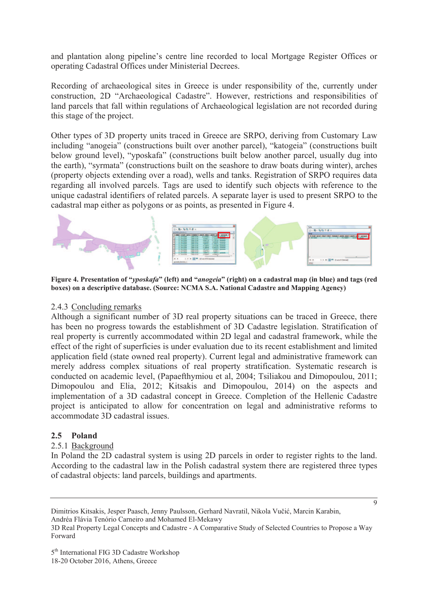and plantation along pipeline's centre line recorded to local Mortgage Register Offices or operating Cadastral Offices under Ministerial Decrees.

Recording of archaeological sites in Greece is under responsibility of the, currently under construction, 2D "Archaeological Cadastre". However, restrictions and responsibilities of land parcels that fall within regulations of Archaeological legislation are not recorded during this stage of the project.

Other types of 3D property units traced in Greece are SRPO, deriving from Customary Law including "anogeia" (constructions built over another parcel), "katogeia" (constructions built below ground level), "yposkafa" (constructions built below another parcel, usually dug into the earth), "syrmata" (constructions built on the seashore to draw boats during winter), arches (property objects extending over a road), wells and tanks. Registration of SRPO requires data regarding all involved parcels. Tags are used to identify such objects with reference to the unique cadastral identifiers of related parcels. A separate layer is used to present SRPO to the cadastral map either as polygons or as points, as presented in Figure 4.



**Figure 4. Presentation of "***yposkafa***" (left) and "***anogeia***" (right) on a cadastral map (in blue) and tags (red boxes) on a descriptive database. (Source: NCMA S.A. National Cadastre and Mapping Agency)**

### 2.4.3 Concluding remarks

Although a significant number of 3D real property situations can be traced in Greece, there has been no progress towards the establishment of 3D Cadastre legislation. Stratification of real property is currently accommodated within 2D legal and cadastral framework, while the effect of the right of superficies is under evaluation due to its recent establishment and limited application field (state owned real property). Current legal and administrative framework can merely address complex situations of real property stratification. Systematic research is conducted on academic level, (Papaefthymiou et al, 2004; Tsiliakou and Dimopoulou, 2011; Dimopoulou and Elia, 2012; Kitsakis and Dimopoulou, 2014) on the aspects and implementation of a 3D cadastral concept in Greece. Completion of the Hellenic Cadastre project is anticipated to allow for concentration on legal and administrative reforms to accommodate 3D cadastral issues.

# **2.5 Poland**

# 2.5.1 Background

In Poland the 2D cadastral system is using 2D parcels in order to register rights to the land. According to the cadastral law in the Polish cadastral system there are registered three types of cadastral objects: land parcels, buildings and apartments.

Andréa Flávia Tenório Carneiro and Mohamed El-Mekawy

Dimitrios Kitsakis, Jesper Paasch, Jenny Paulsson, Gerhard Navratil, Nikola Vučić, Marcin Karabin,

<sup>3</sup>D Real Property Legal Concepts and Cadastre - A Comparative Study of Selected Countries to Propose a Way Forward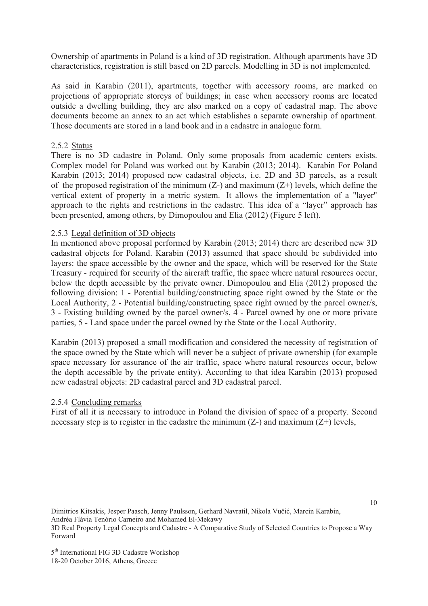Ownership of apartments in Poland is a kind of 3D registration. Although apartments have 3D characteristics, registration is still based on 2D parcels. Modelling in 3D is not implemented.

As said in Karabin (2011), apartments, together with accessory rooms, are marked on projections of appropriate storeys of buildings; in case when accessory rooms are located outside a dwelling building, they are also marked on a copy of cadastral map. The above documents become an annex to an act which establishes a separate ownership of apartment. Those documents are stored in a land book and in a cadastre in analogue form.

### 2.5.2 Status

There is no 3D cadastre in Poland. Only some proposals from academic centers exists. Complex model for Poland was worked out by Karabin (2013; 2014). Karabin For Poland Karabin (2013; 2014) proposed new cadastral objects, i.e. 2D and 3D parcels, as a result of the proposed registration of the minimum  $(Z-)$  and maximum  $(Z+)$  levels, which define the vertical extent of property in a metric system. It allows the implementation of a "layer" approach to the rights and restrictions in the cadastre. This idea of a "layer" approach has been presented, among others, by Dimopoulou and Elia (2012) (Figure 5 left).

### 2.5.3 Legal definition of 3D objects

In mentioned above proposal performed by Karabin (2013; 2014) there are described new 3D cadastral objects for Poland. Karabin (2013) assumed that space should be subdivided into layers: the space accessible by the owner and the space, which will be reserved for the State Treasury - required for security of the aircraft traffic, the space where natural resources occur, below the depth accessible by the private owner. Dimopoulou and Elia (2012) proposed the following division: 1 - Potential building/constructing space right owned by the State or the Local Authority, 2 - Potential building/constructing space right owned by the parcel owner/s, 3 - Existing building owned by the parcel owner/s, 4 - Parcel owned by one or more private parties, 5 - Land space under the parcel owned by the State or the Local Authority.

Karabin (2013) proposed a small modification and considered the necessity of registration of the space owned by the State which will never be a subject of private ownership (for example space necessary for assurance of the air traffic, space where natural resources occur, below the depth accessible by the private entity). According to that idea Karabin (2013) proposed new cadastral objects: 2D cadastral parcel and 3D cadastral parcel.

#### 2.5.4 Concluding remarks

First of all it is necessary to introduce in Poland the division of space of a property. Second necessary step is to register in the cadastre the minimum  $(Z-)$  and maximum  $(Z+)$  levels,

Dimitrios Kitsakis, Jesper Paasch, Jenny Paulsson, Gerhard Navratil, Nikola Vučić, Marcin Karabin, Andréa Flávia Tenório Carneiro and Mohamed El-Mekawy 3D Real Property Legal Concepts and Cadastre - A Comparative Study of Selected Countries to Propose a Way Forward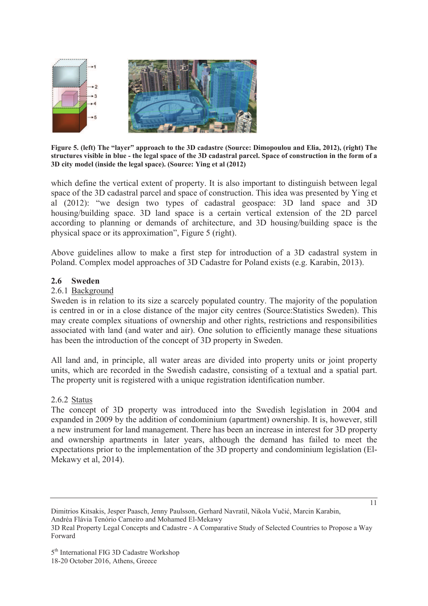

**Figure 5. (left) The "layer" approach to the 3D cadastre (Source: Dimopoulou and Elia, 2012), (right) The structures visible in blue - the legal space of the 3D cadastral parcel. Space of construction in the form of a 3D city model (inside the legal space). (Source: Ying et al (2012)** 

which define the vertical extent of property. It is also important to distinguish between legal space of the 3D cadastral parcel and space of construction. This idea was presented by Ying et al (2012): "we design two types of cadastral geospace: 3D land space and 3D housing/building space. 3D land space is a certain vertical extension of the 2D parcel according to planning or demands of architecture, and 3D housing/building space is the physical space or its approximation", Figure 5 (right).

Above guidelines allow to make a first step for introduction of a 3D cadastral system in Poland. Complex model approaches of 3D Cadastre for Poland exists (e.g. Karabin, 2013).

#### **2.6 Sweden**

#### 2.6.1 Background

Sweden is in relation to its size a scarcely populated country. The majority of the population is centred in or in a close distance of the major city centres (Source:Statistics Sweden). This may create complex situations of ownership and other rights, restrictions and responsibilities associated with land (and water and air). One solution to efficiently manage these situations has been the introduction of the concept of 3D property in Sweden.

All land and, in principle, all water areas are divided into property units or joint property units, which are recorded in the Swedish cadastre, consisting of a textual and a spatial part. The property unit is registered with a unique registration identification number.

#### 2.6.2 Status

The concept of 3D property was introduced into the Swedish legislation in 2004 and expanded in 2009 by the addition of condominium (apartment) ownership. It is, however, still a new instrument for land management. There has been an increase in interest for 3D property and ownership apartments in later years, although the demand has failed to meet the expectations prior to the implementation of the 3D property and condominium legislation (El-Mekawy et al, 2014).

Dimitrios Kitsakis, Jesper Paasch, Jenny Paulsson, Gerhard Navratil, Nikola Vučić, Marcin Karabin, Andréa Flávia Tenório Carneiro and Mohamed El-Mekawy

<sup>3</sup>D Real Property Legal Concepts and Cadastre - A Comparative Study of Selected Countries to Propose a Way Forward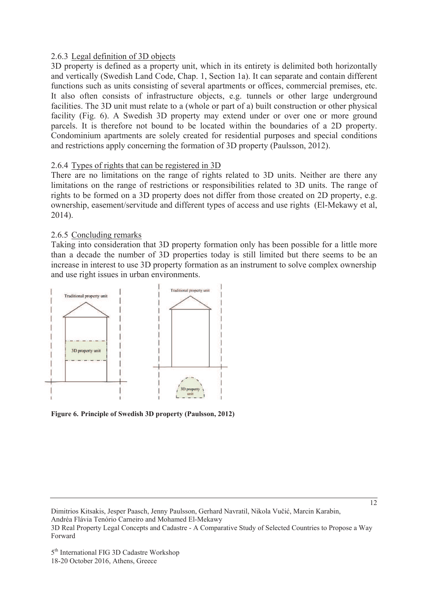# 2.6.3 Legal definition of 3D objects

3D property is defined as a property unit, which in its entirety is delimited both horizontally and vertically (Swedish Land Code, Chap. 1, Section 1a). It can separate and contain different functions such as units consisting of several apartments or offices, commercial premises, etc. It also often consists of infrastructure objects, e.g. tunnels or other large underground facilities. The 3D unit must relate to a (whole or part of a) built construction or other physical facility (Fig. 6). A Swedish 3D property may extend under or over one or more ground parcels. It is therefore not bound to be located within the boundaries of a 2D property. Condominium apartments are solely created for residential purposes and special conditions and restrictions apply concerning the formation of 3D property (Paulsson, 2012).

# 2.6.4 Types of rights that can be registered in 3D

There are no limitations on the range of rights related to 3D units. Neither are there any limitations on the range of restrictions or responsibilities related to 3D units. The range of rights to be formed on a 3D property does not differ from those created on 2D property, e.g. ownership, easement/servitude and different types of access and use rights (El-Mekawy et al, 2014).

### 2.6.5 Concluding remarks

Taking into consideration that 3D property formation only has been possible for a little more than a decade the number of 3D properties today is still limited but there seems to be an increase in interest to use 3D property formation as an instrument to solve complex ownership and use right issues in urban environments.



**Figure 6. Principle of Swedish 3D property (Paulsson, 2012)** 

Dimitrios Kitsakis, Jesper Paasch, Jenny Paulsson, Gerhard Navratil, Nikola Vučić, Marcin Karabin, Andréa Flávia Tenório Carneiro and Mohamed El-Mekawy 3D Real Property Legal Concepts and Cadastre - A Comparative Study of Selected Countries to Propose a Way Forward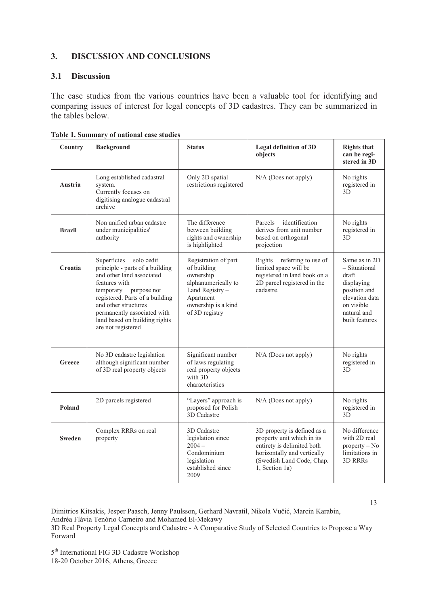# **3. DISCUSSION AND CONCLUSIONS**

### **3.1 Discussion**

The case studies from the various countries have been a valuable tool for identifying and comparing issues of interest for legal concepts of 3D cadastres. They can be summarized in the tables below.

| Country       | <b>Background</b>                                                                                                                                                                                                                                                                    | <b>Status</b>                                                                                                                                    | <b>Legal definition of 3D</b><br>objects                                                                                                                              | <b>Rights that</b><br>can be regi-<br>stered in 3D                                                                                     |
|---------------|--------------------------------------------------------------------------------------------------------------------------------------------------------------------------------------------------------------------------------------------------------------------------------------|--------------------------------------------------------------------------------------------------------------------------------------------------|-----------------------------------------------------------------------------------------------------------------------------------------------------------------------|----------------------------------------------------------------------------------------------------------------------------------------|
| Austria       | Long established cadastral<br>system.<br>Currently focuses on<br>digitising analogue cadastral<br>archive                                                                                                                                                                            | Only 2D spatial<br>restrictions registered                                                                                                       | $N/A$ (Does not apply)                                                                                                                                                | No rights<br>registered in<br>3D                                                                                                       |
| <b>Brazil</b> | Non unified urban cadastre<br>under municipalities'<br>authority                                                                                                                                                                                                                     | The difference<br>between building<br>rights and ownership<br>is highlighted                                                                     | identification<br>Parcels<br>derives from unit number<br>based on orthogonal<br>projection                                                                            | No rights<br>registered in<br>3D                                                                                                       |
| Croatia       | Superficies<br>solo cedit<br>principle - parts of a building<br>and other land associated<br>features with<br>temporary purpose not<br>registered. Parts of a building<br>and other structures<br>permanently associated with<br>land based on building rights<br>are not registered | Registration of part<br>of building<br>ownership<br>alphanumerically to<br>Land Registry -<br>Apartment<br>ownership is a kind<br>of 3D registry | Rights<br>referring to use of<br>limited space will be<br>registered in land book on a<br>2D parcel registered in the<br>cadastre.                                    | Same as in 2D<br>- Situational<br>draft<br>displaying<br>position and<br>elevation data<br>on visible<br>natural and<br>built features |
| Greece        | No 3D cadastre legislation<br>although significant number<br>of 3D real property objects                                                                                                                                                                                             | Significant number<br>of laws regulating<br>real property objects<br>with 3D<br>characteristics                                                  | N/A (Does not apply)                                                                                                                                                  | No rights<br>registered in<br>3D                                                                                                       |
| Poland        | 2D parcels registered                                                                                                                                                                                                                                                                | "Layers" approach is<br>proposed for Polish<br>3D Cadastre                                                                                       | $N/A$ (Does not apply)                                                                                                                                                | No rights<br>registered in<br>3D                                                                                                       |
| <b>Sweden</b> | Complex RRRs on real<br>property                                                                                                                                                                                                                                                     | 3D Cadastre<br>legislation since<br>$2004 -$<br>Condominium<br>legislation<br>established since<br>2009                                          | 3D property is defined as a<br>property unit which in its<br>entirety is delimited both<br>horizontally and vertically<br>(Swedish Land Code, Chap.<br>1, Section 1a) | No difference<br>with 2D real<br>$property - No$<br>limitations in<br>3D RRRs                                                          |

|  |  |  | Table 1. Summary of national case studies |  |  |
|--|--|--|-------------------------------------------|--|--|
|--|--|--|-------------------------------------------|--|--|

Dimitrios Kitsakis, Jesper Paasch, Jenny Paulsson, Gerhard Navratil, Nikola Vučić, Marcin Karabin, Andréa Flávia Tenório Carneiro and Mohamed El-Mekawy 3D Real Property Legal Concepts and Cadastre - A Comparative Study of Selected Countries to Propose a Way Forward

5<sup>th</sup> International FIG 3D Cadastre Workshop 18-20 October 2016, Athens, Greece

13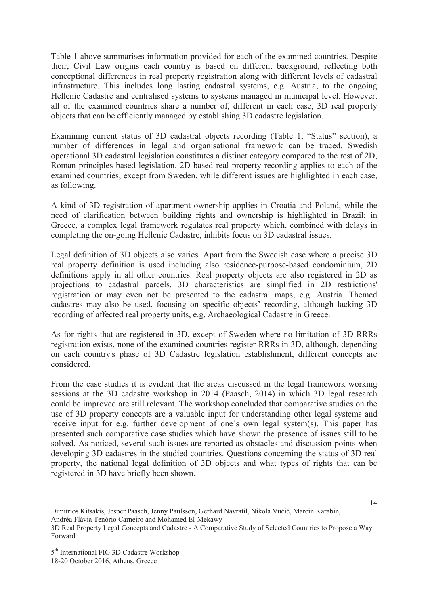Table 1 above summarises information provided for each of the examined countries. Despite their, Civil Law origins each country is based on different background, reflecting both conceptional differences in real property registration along with different levels of cadastral infrastructure. This includes long lasting cadastral systems, e.g. Austria, to the ongoing Hellenic Cadastre and centralised systems to systems managed in municipal level. However, all of the examined countries share a number of, different in each case, 3D real property objects that can be efficiently managed by establishing 3D cadastre legislation.

Examining current status of 3D cadastral objects recording (Table 1, "Status" section), a number of differences in legal and organisational framework can be traced. Swedish operational 3D cadastral legislation constitutes a distinct category compared to the rest of 2D, Roman principles based legislation. 2D based real property recording applies to each of the examined countries, except from Sweden, while different issues are highlighted in each case, as following.

A kind of 3D registration of apartment ownership applies in Croatia and Poland, while the need of clarification between building rights and ownership is highlighted in Brazil; in Greece, a complex legal framework regulates real property which, combined with delays in completing the on-going Hellenic Cadastre, inhibits focus on 3D cadastral issues.

Legal definition of 3D objects also varies. Apart from the Swedish case where a precise 3D real property definition is used including also residence-purpose-based condominium, 2D definitions apply in all other countries. Real property objects are also registered in 2D as projections to cadastral parcels. 3D characteristics are simplified in 2D restrictions' registration or may even not be presented to the cadastral maps, e.g. Austria. Themed cadastres may also be used, focusing on specific objects' recording, although lacking 3D recording of affected real property units, e.g. Archaeological Cadastre in Greece.

As for rights that are registered in 3D, except of Sweden where no limitation of 3D RRRs registration exists, none of the examined countries register RRRs in 3D, although, depending on each country's phase of 3D Cadastre legislation establishment, different concepts are considered.

From the case studies it is evident that the areas discussed in the legal framework working sessions at the 3D cadastre workshop in 2014 (Paasch, 2014) in which 3D legal research could be improved are still relevant. The workshop concluded that comparative studies on the use of 3D property concepts are a valuable input for understanding other legal systems and receive input for e.g. further development of one´s own legal system(s). This paper has presented such comparative case studies which have shown the presence of issues still to be solved. As noticed, several such issues are reported as obstacles and discussion points when developing 3D cadastres in the studied countries. Questions concerning the status of 3D real property, the national legal definition of 3D objects and what types of rights that can be registered in 3D have briefly been shown.

Dimitrios Kitsakis, Jesper Paasch, Jenny Paulsson, Gerhard Navratil, Nikola Vučić, Marcin Karabin, Andréa Flávia Tenório Carneiro and Mohamed El-Mekawy

<sup>3</sup>D Real Property Legal Concepts and Cadastre - A Comparative Study of Selected Countries to Propose a Way Forward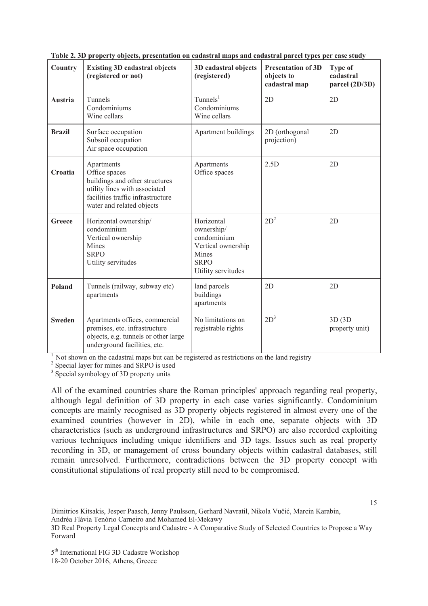| Country        | <b>Existing 3D cadastral objects</b><br>(registered or not)                                                                                                      | 3D cadastral objects<br>(registered)                                                                        | <b>Presentation of 3D</b><br>objects to<br>cadastral map | <b>Type of</b><br>cadastral<br>parcel (2D/3D) |
|----------------|------------------------------------------------------------------------------------------------------------------------------------------------------------------|-------------------------------------------------------------------------------------------------------------|----------------------------------------------------------|-----------------------------------------------|
| <b>Austria</b> | Tunnels<br>Condominiums<br>Wine cellars                                                                                                                          | $T$ unnels <sup>1</sup><br>Condominiums<br>Wine cellars                                                     | 2D                                                       | 2D                                            |
| <b>Brazil</b>  | Surface occupation<br>Subsoil occupation<br>Air space occupation                                                                                                 | Apartment buildings                                                                                         | 2D (orthogonal<br>projection)                            | 2D                                            |
| Croatia        | Apartments<br>Office spaces<br>buildings and other structures<br>utility lines with associated<br>facilities traffic infrastructure<br>water and related objects | Apartments<br>Office spaces                                                                                 | 2.5D                                                     | 2D                                            |
| Greece         | Horizontal ownership/<br>condominium<br>Vertical ownership<br><b>Mines</b><br><b>SRPO</b><br>Utility servitudes                                                  | Horizontal<br>ownership/<br>condominium<br>Vertical ownership<br>Mines<br><b>SRPO</b><br>Utility servitudes | $2D^2$                                                   | 2D                                            |
| Poland         | Tunnels (railway, subway etc)<br>apartments                                                                                                                      | land parcels<br>buildings<br>apartments                                                                     | 2D                                                       | 2D                                            |
| <b>Sweden</b>  | Apartments offices, commercial<br>premises, etc. infrastructure<br>objects, e.g. tunnels or other large<br>underground facilities, etc.                          | No limitations on<br>registrable rights                                                                     | $2D^3$                                                   | 3D (3D)<br>property unit)                     |

**Table 2. 3D property objects, presentation on cadastral maps and cadastral parcel types per case study** 

<sup>1</sup> Not shown on the cadastral maps but can be registered as restrictions on the land registry

<sup>2</sup> Special layer for mines and SRPO is used

<sup>3</sup> Special symbology of 3D property units

All of the examined countries share the Roman principles' approach regarding real property, although legal definition of 3D property in each case varies significantly. Condominium concepts are mainly recognised as 3D property objects registered in almost every one of the examined countries (however in 2D), while in each one, separate objects with 3D characteristics (such as underground infrastructures and SRPO) are also recorded exploiting various techniques including unique identifiers and 3D tags. Issues such as real property recording in 3D, or management of cross boundary objects within cadastral databases, still remain unresolved. Furthermore, contradictions between the 3D property concept with constitutional stipulations of real property still need to be compromised.

Dimitrios Kitsakis, Jesper Paasch, Jenny Paulsson, Gerhard Navratil, Nikola Vučić, Marcin Karabin, Andréa Flávia Tenório Carneiro and Mohamed El-Mekawy

<sup>15</sup> 

<sup>3</sup>D Real Property Legal Concepts and Cadastre - A Comparative Study of Selected Countries to Propose a Way Forward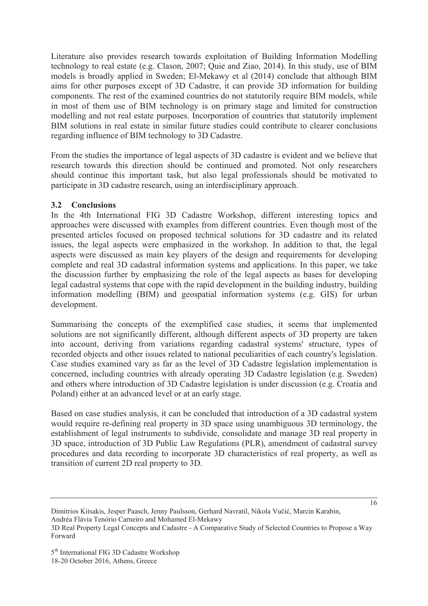Literature also provides research towards exploitation of Building Information Modelling technology to real estate (e.g. Clason, 2007; Quie and Ziao, 2014). In this study, use of BIM models is broadly applied in Sweden; El-Mekawy et al (2014) conclude that although BIM aims for other purposes except of 3D Cadastre, it can provide 3D information for building components. The rest of the examined countries do not statutorily require BIM models, while in most of them use of BIM technology is on primary stage and limited for construction modelling and not real estate purposes. Incorporation of countries that statutorily implement BIM solutions in real estate in similar future studies could contribute to clearer conclusions regarding influence of BIM technology to 3D Cadastre.

From the studies the importance of legal aspects of 3D cadastre is evident and we believe that research towards this direction should be continued and promoted. Not only researchers should continue this important task, but also legal professionals should be motivated to participate in 3D cadastre research, using an interdisciplinary approach.

### **3.2 Conclusions**

In the 4th International FIG 3D Cadastre Workshop, different interesting topics and approaches were discussed with examples from different countries. Even though most of the presented articles focused on proposed technical solutions for 3D cadastre and its related issues, the legal aspects were emphasized in the workshop. In addition to that, the legal aspects were discussed as main key players of the design and requirements for developing complete and real 3D cadastral information systems and applications. In this paper, we take the discussion further by emphasizing the role of the legal aspects as bases for developing legal cadastral systems that cope with the rapid development in the building industry, building information modelling (BIM) and geospatial information systems (e.g. GIS) for urban development.

Summarising the concepts of the exemplified case studies, it seems that implemented solutions are not significantly different, although different aspects of 3D property are taken into account, deriving from variations regarding cadastral systems' structure, types of recorded objects and other issues related to national peculiarities of each country's legislation. Case studies examined vary as far as the level of 3D Cadastre legislation implementation is concerned, including countries with already operating 3D Cadastre legislation (e.g. Sweden) and others where introduction of 3D Cadastre legislation is under discussion (e.g. Croatia and Poland) either at an advanced level or at an early stage.

Based on case studies analysis, it can be concluded that introduction of a 3D cadastral system would require re-defining real property in 3D space using unambiguous 3D terminology, the establishment of legal instruments to subdivide, consolidate and manage 3D real property in 3D space, introduction of 3D Public Law Regulations (PLR), amendment of cadastral survey procedures and data recording to incorporate 3D characteristics of real property, as well as transition of current 2D real property to 3D.

Dimitrios Kitsakis, Jesper Paasch, Jenny Paulsson, Gerhard Navratil, Nikola Vučić, Marcin Karabin, Andréa Flávia Tenório Carneiro and Mohamed El-Mekawy

<sup>3</sup>D Real Property Legal Concepts and Cadastre - A Comparative Study of Selected Countries to Propose a Way Forward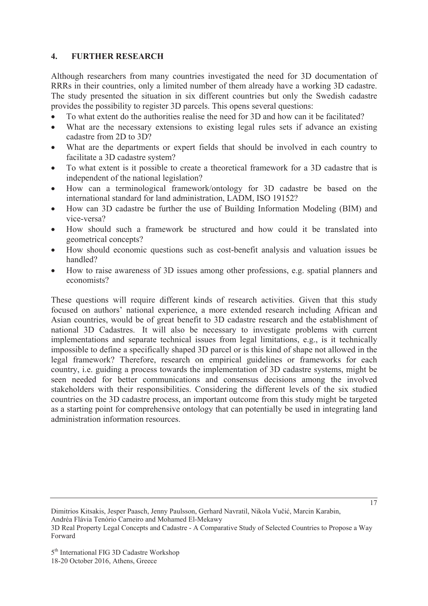### **4. FURTHER RESEARCH**

Although researchers from many countries investigated the need for 3D documentation of RRRs in their countries, only a limited number of them already have a working 3D cadastre. The study presented the situation in six different countries but only the Swedish cadastre provides the possibility to register 3D parcels. This opens several questions:

- To what extent do the authorities realise the need for 3D and how can it be facilitated?
- What are the necessary extensions to existing legal rules sets if advance an existing cadastre from 2D to 3D?
- What are the departments or expert fields that should be involved in each country to facilitate a 3D cadastre system?
- To what extent is it possible to create a theoretical framework for a 3D cadastre that is independent of the national legislation?
- x How can a terminological framework/ontology for 3D cadastre be based on the international standard for land administration, LADM, ISO 19152?
- How can 3D cadastre be further the use of Building Information Modeling (BIM) and vice-versa?
- How should such a framework be structured and how could it be translated into geometrical concepts?
- How should economic questions such as cost-benefit analysis and valuation issues be handled?
- How to raise awareness of 3D issues among other professions, e.g. spatial planners and economists?

These questions will require different kinds of research activities. Given that this study focused on authors' national experience, a more extended research including African and Asian countries, would be of great benefit to 3D cadastre research and the establishment of national 3D Cadastres. It will also be necessary to investigate problems with current implementations and separate technical issues from legal limitations, e.g., is it technically impossible to define a specifically shaped 3D parcel or is this kind of shape not allowed in the legal framework? Therefore, research on empirical guidelines or frameworks for each country, i.e. guiding a process towards the implementation of 3D cadastre systems, might be seen needed for better communications and consensus decisions among the involved stakeholders with their responsibilities. Considering the different levels of the six studied countries on the 3D cadastre process, an important outcome from this study might be targeted as a starting point for comprehensive ontology that can potentially be used in integrating land administration information resources.

Dimitrios Kitsakis, Jesper Paasch, Jenny Paulsson, Gerhard Navratil, Nikola Vučić, Marcin Karabin, Andréa Flávia Tenório Carneiro and Mohamed El-Mekawy 3D Real Property Legal Concepts and Cadastre - A Comparative Study of Selected Countries to Propose a Way Forward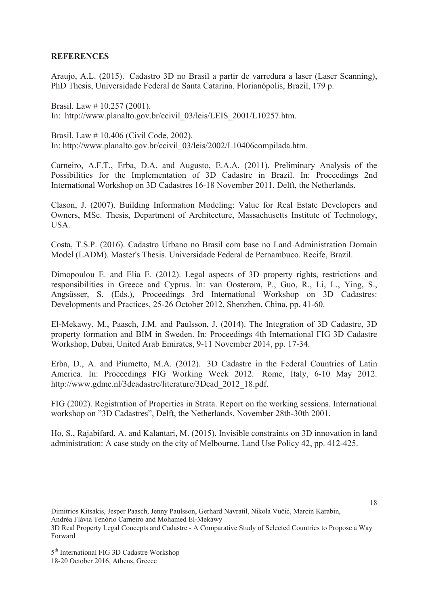### **REFERENCES**

Araujo, A.L. (2015). Cadastro 3D no Brasil a partir de varredura a laser (Laser Scanning), PhD Thesis, Universidade Federal de Santa Catarina. Florianópolis, Brazil, 179 p.

Brasil. Law # 10.257 (2001). In: http://www.planalto.gov.br/ccivil\_03/leis/LEIS\_2001/L10257.htm.

Brasil. Law # 10.406 (Civil Code, 2002). In: http://www.planalto.gov.br/ccivil\_03/leis/2002/L10406compilada.htm.

Carneiro, A.F.T., Erba, D.A. and Augusto, E.A.A. (2011). Preliminary Analysis of the Possibilities for the Implementation of 3D Cadastre in Brazil. In: Proceedings 2nd International Workshop on 3D Cadastres 16-18 November 2011, Delft, the Netherlands.

Clason, J. (2007). Building Information Modeling: Value for Real Estate Developers and Owners, MSc. Thesis, Department of Architecture, Massachusetts Institute of Technology, USA.

Costa, T.S.P. (2016). Cadastro Urbano no Brasil com base no Land Administration Domain Model (LADM). Master's Thesis. Universidade Federal de Pernambuco. Recife, Brazil.

Dimopoulou E. and Elia E. (2012). Legal aspects of 3D property rights, restrictions and responsibilities in Greece and Cyprus. In: van Oosterom, P., Guo, R., Li, L., Ying, S., Angsüsser, S. (Eds.), Proceedings 3rd International Workshop on 3D Cadastres: Developments and Practices, 25-26 October 2012, Shenzhen, China, pp. 41-60.

El-Mekawy, M., Paasch, J.M. and Paulsson, J. (2014). The Integration of 3D Cadastre, 3D property formation and BIM in Sweden. In: Proceedings 4th International FIG 3D Cadastre Workshop, Dubai, United Arab Emirates, 9-11 November 2014, pp. 17-34.

Erba, D., A. and Piumetto, M.A. (2012). 3D Cadastre in the Federal Countries of Latin America. In: Proceedings FIG Working Week 2012. Rome, Italy, 6-10 May 2012. http://www.gdmc.nl/3dcadastre/literature/3Dcad\_2012\_18.pdf.

FIG (2002). Registration of Properties in Strata. Report on the working sessions. International workshop on "3D Cadastres", Delft, the Netherlands, November 28th-30th 2001.

Ho, S., Rajabifard, A. and Kalantari, M. (2015). Invisible constraints on 3D innovation in land administration: A case study on the city of Melbourne. Land Use Policy 42, pp. 412-425.

Dimitrios Kitsakis, Jesper Paasch, Jenny Paulsson, Gerhard Navratil, Nikola Vučić, Marcin Karabin, Andréa Flávia Tenório Carneiro and Mohamed El-Mekawy

<sup>3</sup>D Real Property Legal Concepts and Cadastre - A Comparative Study of Selected Countries to Propose a Way Forward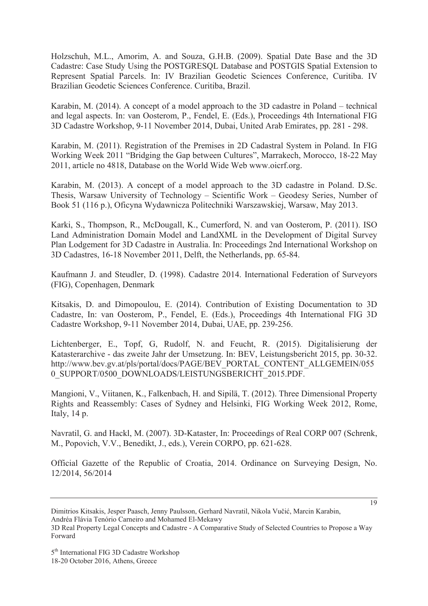Holzschuh, M.L., Amorim, A. and Souza, G.H.B. (2009). Spatial Date Base and the 3D Cadastre: Case Study Using the POSTGRESQL Database and POSTGIS Spatial Extension to Represent Spatial Parcels. In: IV Brazilian Geodetic Sciences Conference, Curitiba. IV Brazilian Geodetic Sciences Conference. Curitiba, Brazil.

Karabin, M. (2014). A concept of a model approach to the 3D cadastre in Poland – technical and legal aspects. In: van Oosterom, P., Fendel, E. (Eds.), Proceedings 4th International FIG 3D Cadastre Workshop, 9-11 November 2014, Dubai, United Arab Emirates, pp. 281 - 298.

Karabin, M. (2011). Registration of the Premises in 2D Cadastral System in Poland. In FIG Working Week 2011 "Bridging the Gap between Cultures", Marrakech, Morocco, 18-22 May 2011, article no 4818, Database on the World Wide Web www.oicrf.org.

Karabin, M. (2013). A concept of a model approach to the 3D cadastre in Poland. D.Sc. Thesis, Warsaw University of Technology – Scientific Work – Geodesy Series, Number of Book 51 (116 p.), Oficyna Wydawnicza Politechniki Warszawskiej, Warsaw, May 2013.

Karki, S., Thompson, R., McDougall, K., Cumerford, N. and van Oosterom, P. (2011). ISO Land Administration Domain Model and LandXML in the Development of Digital Survey Plan Lodgement for 3D Cadastre in Australia. In: Proceedings 2nd International Workshop on 3D Cadastres, 16-18 November 2011, Delft, the Netherlands, pp. 65-84.

Kaufmann J. and Steudler, D. (1998). Cadastre 2014. International Federation of Surveyors (FIG), Copenhagen, Denmark

Kitsakis, D. and Dimopoulou, E. (2014). Contribution of Existing Documentation to 3D Cadastre, In: van Oosterom, P., Fendel, E. (Eds.), Proceedings 4th International FIG 3D Cadastre Workshop, 9-11 November 2014, Dubai, UAE, pp. 239-256.

Lichtenberger, E., Topf, G, Rudolf, N. and Feucht, R. (2015). Digitalisierung der Katasterarchive - das zweite Jahr der Umsetzung. In: BEV, Leistungsbericht 2015, pp. 30-32. http://www.bev.gv.at/pls/portal/docs/PAGE/BEV\_PORTAL\_CONTENT\_ALLGEMEIN/055 0\_SUPPORT/0500\_DOWNLOADS/LEISTUNGSBERICHT\_2015.PDF.

Mangioni, V., Viitanen, K., Falkenbach, H. and Sipilä, T. (2012). Three Dimensional Property Rights and Reassembly: Cases of Sydney and Helsinki, FIG Working Week 2012, Rome, Italy, 14 p.

Navratil, G. and Hackl, M. (2007). 3D-Kataster, In: Proceedings of Real CORP 007 (Schrenk, M., Popovich, V.V., Benedikt, J., eds.), Verein CORPO, pp. 621-628.

Official Gazette of the Republic of Croatia, 2014. Ordinance on Surveying Design, No. 12/2014, 56/2014

Dimitrios Kitsakis, Jesper Paasch, Jenny Paulsson, Gerhard Navratil, Nikola Vučić, Marcin Karabin, Andréa Flávia Tenório Carneiro and Mohamed El-Mekawy

<sup>3</sup>D Real Property Legal Concepts and Cadastre - A Comparative Study of Selected Countries to Propose a Way Forward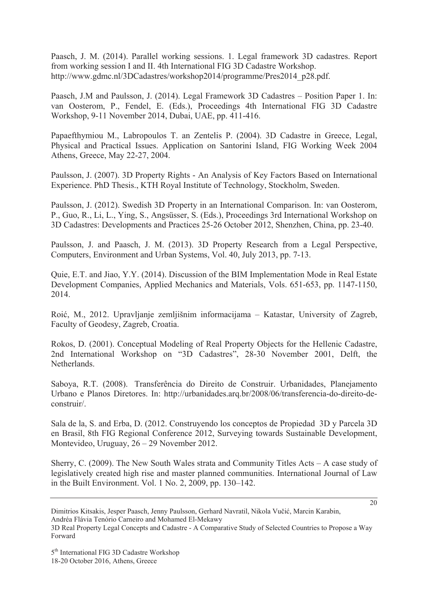Paasch, J. M. (2014). Parallel working sessions. 1. Legal framework 3D cadastres. Report from working session I and II. 4th International FIG 3D Cadastre Workshop. http://www.gdmc.nl/3DCadastres/workshop2014/programme/Pres2014\_p28.pdf.

Paasch, J.M and Paulsson, J. (2014). Legal Framework 3D Cadastres – Position Paper 1. In: van Oosterom, P., Fendel, E. (Eds.), Proceedings 4th International FIG 3D Cadastre Workshop, 9-11 November 2014, Dubai, UAE, pp. 411-416.

Papaefthymiou M., Labropoulos T. an Zentelis P. (2004). 3D Cadastre in Greece, Legal, Physical and Practical Issues. Application on Santorini Island, FIG Working Week 2004 Athens, Greece, May 22-27, 2004.

Paulsson, J. (2007). 3D Property Rights - An Analysis of Key Factors Based on International Experience. PhD Thesis., KTH Royal Institute of Technology, Stockholm, Sweden.

Paulsson, J. (2012). Swedish 3D Property in an International Comparison. In: van Oosterom, P., Guo, R., Li, L., Ying, S., Angsüsser, S. (Eds.), Proceedings 3rd International Workshop on 3D Cadastres: Developments and Practices 25-26 October 2012, Shenzhen, China, pp. 23-40.

Paulsson, J. and Paasch, J. M. (2013). 3D Property Research from a Legal Perspective, Computers, Environment and Urban Systems, Vol. 40, July 2013, pp. 7-13.

Quie, E.T. and Jiao, Y.Y. (2014). Discussion of the BIM Implementation Mode in Real Estate Development Companies, Applied Mechanics and Materials, Vols. 651-653, pp. 1147-1150, 2014.

Roić, M., 2012. Upravljanje zemljišnim informacijama – Katastar, University of Zagreb, Faculty of Geodesy, Zagreb, Croatia.

Rokos, D. (2001). Conceptual Modeling of Real Property Objects for the Hellenic Cadastre, 2nd International Workshop on "3D Cadastres", 28-30 November 2001, Delft, the **Netherlands** 

Saboya, R.T. (2008). Transferência do Direito de Construir. Urbanidades, Planejamento Urbano e Planos Diretores. In: http://urbanidades.arq.br/2008/06/transferencia-do-direito-deconstruir/.

Sala de la, S. and Erba, D. (2012. Construyendo los conceptos de Propiedad 3D y Parcela 3D en Brasil, 8th FIG Regional Conference 2012, Surveying towards Sustainable Development, Montevideo, Uruguay, 26 – 29 November 2012.

Sherry, C. (2009). The New South Wales strata and Community Titles Acts – A case study of legislatively created high rise and master planned communities. International Journal of Law in the Built Environment. Vol. 1 No. 2, 2009, pp. 130–142.

20

Dimitrios Kitsakis, Jesper Paasch, Jenny Paulsson, Gerhard Navratil, Nikola Vučić, Marcin Karabin, Andréa Flávia Tenório Carneiro and Mohamed El-Mekawy

<sup>3</sup>D Real Property Legal Concepts and Cadastre - A Comparative Study of Selected Countries to Propose a Way Forward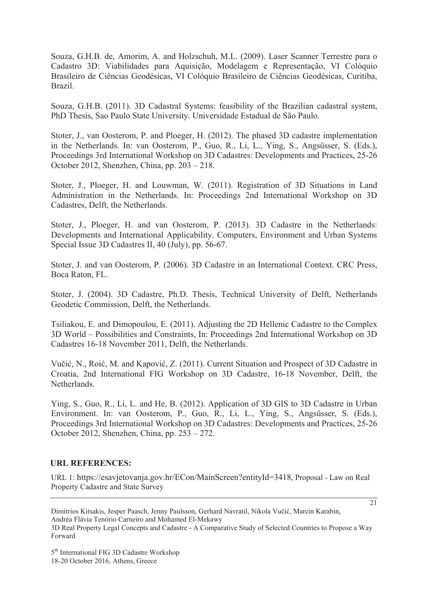Souza, G.H.B. de, Amorim, A. and Holzschuh, M.L. (2009). Laser Scanner Terrestre para o Cadastro 3D: Viabilidades para Aquisição, Modelagem e Representação, VI Colóquio Brasileiro de Ciências Geodésicas, VI Colóquio Brasileiro de Ciências Geodésicas, Curitiba, Brazil.

Souza, G.H.B. (2011). 3D Cadastral Systems: feasibility of the Brazilian cadastral system, PhD Thesis, Sao Paulo State University. Universidade Estadual de São Paulo.

Stoter, J., van Oosterom, P. and Ploeger, H. (2012). The phased 3D cadastre implementation in the Netherlands. In: van Oosterom, P., Guo, R., Li, L., Ying, S., Angsüsser, S. (Eds.), Proceedings 3rd International Workshop on 3D Cadastres: Developments and Practices, 25-26 October 2012, Shenzhen, China, pp. 203 – 218.

Stoter, J., Ploeger, H. and Louwman, W. (2011). Registration of 3D Situations in Land Administration in the Netherlands. In: Proceedings 2nd International Workshop on 3D Cadastres, Delft, the Netherlands.

Stoter, J., Ploeger, H. and van Oosterom, P. (2013). 3D Cadastre in the Netherlands: Developments and International Applicability. Computers, Environment and Urban Systems Special Issue 3D Cadastres II, 40 (July), pp. 56-67.

Stoter, J. and van Oosterom, P. (2006). 3D Cadastre in an International Context. CRC Press, Boca Raton, FL.

Stoter, J. (2004). 3D Cadastre, Ph.D. Thesis, Technical University of Delft, Netherlands Geodetic Commission, Delft, the Netherlands.

Tsiliakou, E. and Dimopoulou, E. (2011). Adjusting the 2D Hellenic Cadastre to the Complex 3D World – Possibilities and Constraints, In: Proceedings 2nd International Workshop on 3D Cadastres 16-18 November 2011, Delft, the Netherlands.

Vučić, N., Roić, M. and Kapović, Z. (2011). Current Situation and Prospect of 3D Cadastre in Croatia, 2nd International FIG Workshop on 3D Cadastre, 16-18 November, Delft, the **Netherlands** 

Ying, S., Guo, R., Li, L. and He, B. (2012). Application of 3D GIS to 3D Cadastre in Urban Environment. In: van Oosterom, P., Guo, R., Li, L., Ying, S., Angsüsser, S. (Eds.), Proceedings 3rd International Workshop on 3D Cadastres: Developments and Practices, 25-26 October 2012, Shenzhen, China, pp. 253 – 272.

#### **URL REFERENCES:**

URL 1: https://esavjetovanja.gov.hr/ECon/MainScreen?entityId=3418, Proposal - Law on Real Property Cadastre and State Survey

Dimitrios Kitsakis, Jesper Paasch, Jenny Paulsson, Gerhard Navratil, Nikola Vučić, Marcin Karabin, Andréa Flávia Tenório Carneiro and Mohamed El-Mekawy 3D Real Property Legal Concepts and Cadastre - A Comparative Study of Selected Countries to Propose a Way Forward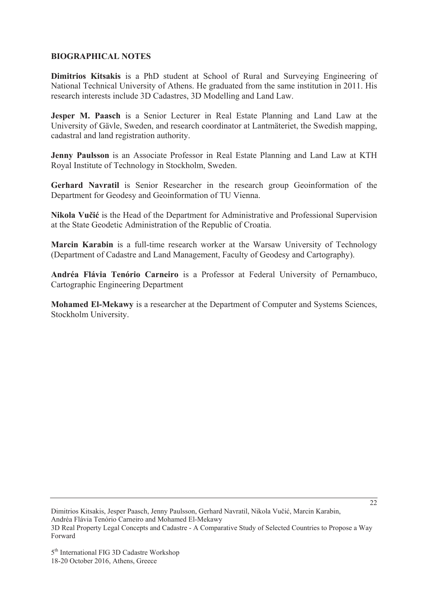#### **BIOGRAPHICAL NOTES**

**Dimitrios Kitsakis** is a PhD student at School of Rural and Surveying Engineering of National Technical University of Athens. He graduated from the same institution in 2011. His research interests include 3D Cadastres, 3D Modelling and Land Law.

**Jesper M. Paasch** is a Senior Lecturer in Real Estate Planning and Land Law at the University of Gävle, Sweden, and research coordinator at Lantmäteriet, the Swedish mapping, cadastral and land registration authority.

**Jenny Paulsson** is an Associate Professor in Real Estate Planning and Land Law at KTH Royal Institute of Technology in Stockholm, Sweden.

Gerhard Navratil is Senior Researcher in the research group Geoinformation of the Department for Geodesy and Geoinformation of TU Vienna.

Nikola Vučić is the Head of the Department for Administrative and Professional Supervision at the State Geodetic Administration of the Republic of Croatia.

**Marcin Karabin** is a full-time research worker at the Warsaw University of Technology (Department of Cadastre and Land Management, Faculty of Geodesy and Cartography).

**Andréa Flávia Tenório Carneiro** is a Professor at Federal University of Pernambuco, Cartographic Engineering Department

**Mohamed El-Mekawy** is a researcher at the Department of Computer and Systems Sciences, Stockholm University.

Dimitrios Kitsakis, Jesper Paasch, Jenny Paulsson, Gerhard Navratil, Nikola Vučić, Marcin Karabin, Andréa Flávia Tenório Carneiro and Mohamed El-Mekawy 3D Real Property Legal Concepts and Cadastre - A Comparative Study of Selected Countries to Propose a Way Forward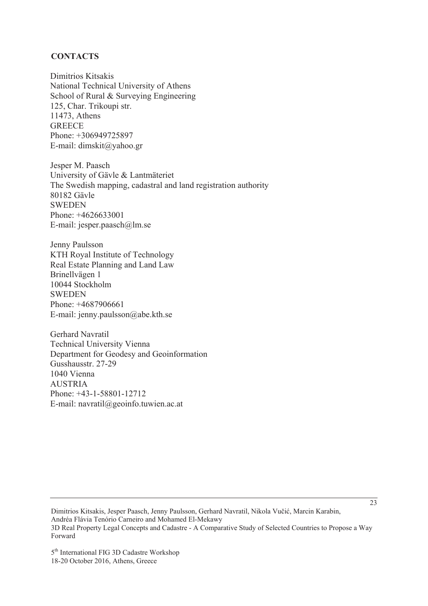#### **CONTACTS**

Dimitrios Kitsakis National Technical University of Athens School of Rural & Surveying Engineering 125, Char. Trikoupi str. 11473, Athens **GREECE** Phone: +306949725897 E-mail: dimskit@yahoo.gr

Jesper M. Paasch University of Gävle & Lantmäteriet The Swedish mapping, cadastral and land registration authority 80182 Gävle **SWEDEN** Phone: +4626633001 E-mail: jesper.paasch@lm.se

Jenny Paulsson KTH Royal Institute of Technology Real Estate Planning and Land Law Brinellvägen 1 10044 Stockholm **SWEDEN** Phone: +4687906661 E-mail: jenny.paulsson@abe.kth.se

Gerhard Navratil Technical University Vienna Department for Geodesy and Geoinformation Gusshausstr. 27-29 1040 Vienna **AUSTRIA** Phone: +43-1-58801-12712 E-mail: navratil@geoinfo.tuwien.ac.at

Dimitrios Kitsakis, Jesper Paasch, Jenny Paulsson, Gerhard Navratil, Nikola Vučić, Marcin Karabin, Andréa Flávia Tenório Carneiro and Mohamed El-Mekawy 3D Real Property Legal Concepts and Cadastre - A Comparative Study of Selected Countries to Propose a Way Forward